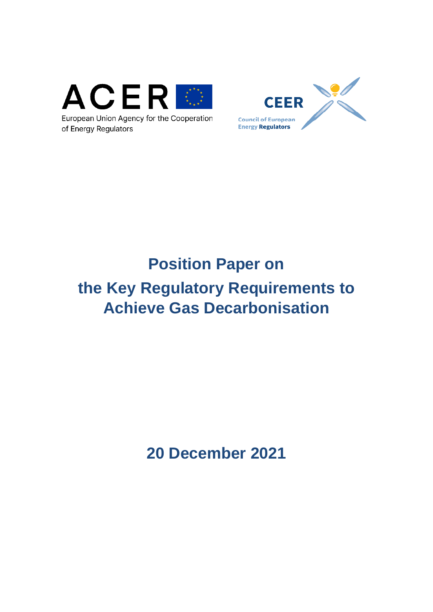



European Union Agency for the Cooperation of Energy Regulators

# **Position Paper on**

# **the Key Regulatory Requirements to Achieve Gas Decarbonisation**

**20 December 2021**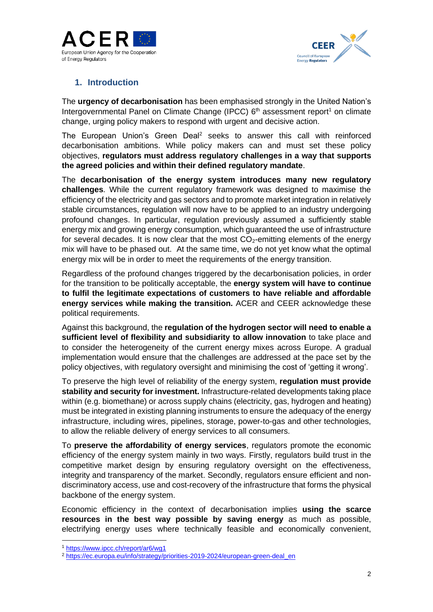



# **1. Introduction**

The **urgency of decarbonisation** has been emphasised strongly in the United Nation's Intergovernmental Panel on Climate Change (IPCC)  $6<sup>th</sup>$  assessment report<sup>1</sup> on climate change, urging policy makers to respond with urgent and decisive action.

The European Union's Green Deal<sup>2</sup> seeks to answer this call with reinforced decarbonisation ambitions. While policy makers can and must set these policy objectives, **regulators must address regulatory challenges in a way that supports the agreed policies and within their defined regulatory mandate**.

The **decarbonisation of the energy system introduces many new regulatory challenges**. While the current regulatory framework was designed to maximise the efficiency of the electricity and gas sectors and to promote market integration in relatively stable circumstances, regulation will now have to be applied to an industry undergoing profound changes. In particular, regulation previously assumed a sufficiently stable energy mix and growing energy consumption, which guaranteed the use of infrastructure for several decades. It is now clear that the most  $CO<sub>2</sub>$ -emitting elements of the energy mix will have to be phased out. At the same time, we do not yet know what the optimal energy mix will be in order to meet the requirements of the energy transition.

Regardless of the profound changes triggered by the decarbonisation policies, in order for the transition to be politically acceptable, the **energy system will have to continue to fulfil the legitimate expectations of customers to have reliable and affordable energy services while making the transition.** ACER and CEER acknowledge these political requirements.

Against this background, the **regulation of the hydrogen sector will need to enable a sufficient level of flexibility and subsidiarity to allow innovation** to take place and to consider the heterogeneity of the current energy mixes across Europe. A gradual implementation would ensure that the challenges are addressed at the pace set by the policy objectives, with regulatory oversight and minimising the cost of 'getting it wrong'.

To preserve the high level of reliability of the energy system, **regulation must provide stability and security for investment.** Infrastructure-related developments taking place within (e.g. biomethane) or across supply chains (electricity, gas, hydrogen and heating) must be integrated in existing planning instruments to ensure the adequacy of the energy infrastructure, including wires, pipelines, storage, power-to-gas and other technologies, to allow the reliable delivery of energy services to all consumers.

To **preserve the affordability of energy services**, regulators promote the economic efficiency of the energy system mainly in two ways. Firstly, regulators build trust in the competitive market design by ensuring regulatory oversight on the effectiveness, integrity and transparency of the market. Secondly, regulators ensure efficient and nondiscriminatory access, use and cost-recovery of the infrastructure that forms the physical backbone of the energy system.

Economic efficiency in the context of decarbonisation implies **using the scarce resources in the best way possible by saving energy** as much as possible, electrifying energy uses where technically feasible and economically convenient,

<sup>1</sup> <https://www.ipcc.ch/report/ar6/wg1>

<sup>&</sup>lt;sup>2</sup> [https://ec.europa.eu/info/strategy/priorities-2019-2024/european-green-deal\\_en](https://ec.europa.eu/info/strategy/priorities-2019-2024/european-green-deal_en)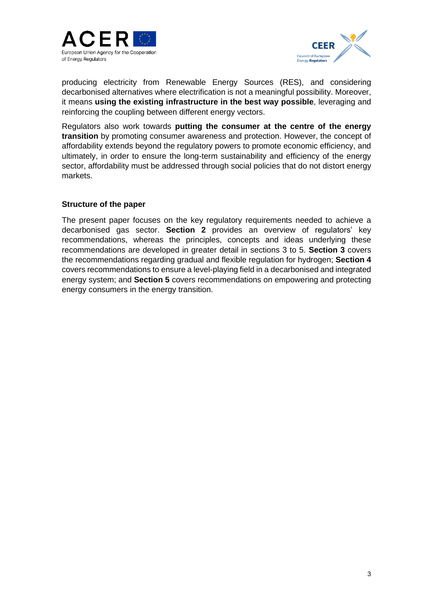



producing electricity from Renewable Energy Sources (RES), and considering decarbonised alternatives where electrification is not a meaningful possibility. Moreover, it means **using the existing infrastructure in the best way possible**, leveraging and reinforcing the coupling between different energy vectors.

Regulators also work towards **putting the consumer at the centre of the energy transition** by promoting consumer awareness and protection. However, the concept of affordability extends beyond the regulatory powers to promote economic efficiency, and ultimately, in order to ensure the long-term sustainability and efficiency of the energy sector, affordability must be addressed through social policies that do not distort energy markets.

#### **Structure of the paper**

The present paper focuses on the key regulatory requirements needed to achieve a decarbonised gas sector. **Section 2** provides an overview of regulators' key recommendations, whereas the principles, concepts and ideas underlying these recommendations are developed in greater detail in sections 3 to 5. **Section 3** covers the recommendations regarding gradual and flexible regulation for hydrogen; **Section 4** covers recommendations to ensure a level-playing field in a decarbonised and integrated energy system; and **Section 5** covers recommendations on empowering and protecting energy consumers in the energy transition.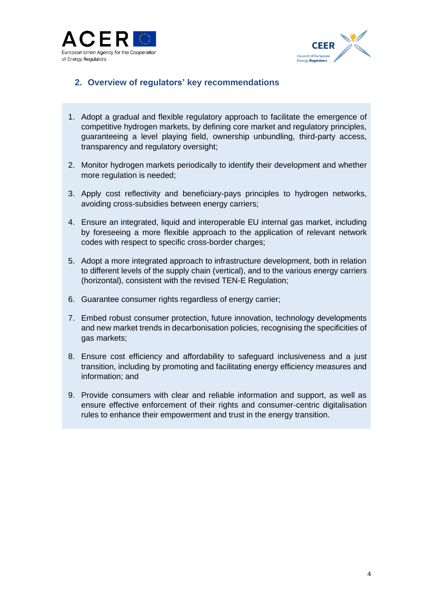



# **2. Overview of regulators' key recommendations**

- 1. Adopt a gradual and flexible regulatory approach to facilitate the emergence of competitive hydrogen markets, by defining core market and regulatory principles, guaranteeing a level playing field, ownership unbundling, third-party access, transparency and regulatory oversight;
- 2. Monitor hydrogen markets periodically to identify their development and whether more regulation is needed;
- <span id="page-3-0"></span>3. Apply cost reflectivity and beneficiary-pays principles to hydrogen networks, avoiding cross-subsidies between energy carriers;
- 4. Ensure an integrated, liquid and interoperable EU internal gas market, including by foreseeing a more flexible approach to the application of relevant network codes with respect to specific cross-border charges;
- 5. Adopt a more integrated approach to infrastructure development, both in relation to different levels of the supply chain (vertical), and to the various energy carriers (horizontal), consistent with the revised TEN-E Regulation;
- 6. Guarantee consumer rights regardless of energy carrier;
- 7. Embed robust consumer protection, future innovation, technology developments and new market trends in decarbonisation policies, recognising the specificities of gas markets;
- 8. Ensure cost efficiency and affordability to safeguard inclusiveness and a just transition, including by promoting and facilitating energy efficiency measures and information; and
- 9. Provide consumers with clear and reliable information and support, as well as ensure effective enforcement of their rights and consumer-centric digitalisation rules to enhance their empowerment and trust in the energy transition.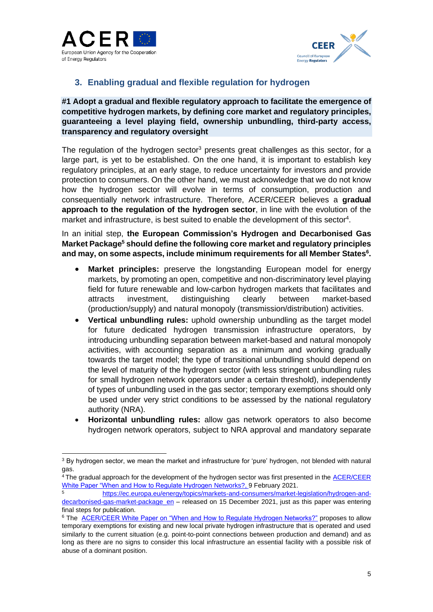



# **3. Enabling gradual and flexible regulation for hydrogen**

**#1 Adopt a gradual and flexible regulatory approach to facilitate the emergence of competitive hydrogen markets, by defining core market and regulatory principles, guaranteeing a level playing field, ownership unbundling, third-party access, transparency and regulatory oversight**

The regulation of the hydrogen sector<sup>3</sup> presents great challenges as this sector, for a large part, is yet to be established. On the one hand, it is important to establish key regulatory principles, at an early stage, to reduce uncertainty for investors and provide protection to consumers. On the other hand, we must acknowledge that we do not know how the hydrogen sector will evolve in terms of consumption, production and consequentially network infrastructure. Therefore, ACER/CEER believes a **gradual approach to the regulation of the hydrogen sector**, in line with the evolution of the market and infrastructure, is best suited to enable the development of this sector<sup>4</sup>.

In an initial step, **the European Commission's Hydrogen and Decarbonised Gas Market Package<sup>5</sup> should define the following core market and regulatory principles and may, on some aspects, include minimum requirements for all Member States<sup>6</sup> .**

- **Market principles:** preserve the longstanding European model for energy markets, by promoting an open, competitive and non-discriminatory level playing field for future renewable and low-carbon hydrogen markets that facilitates and attracts investment, distinguishing clearly between market-based (production/supply) and natural monopoly (transmission/distribution) activities.
- **Vertical unbundling rules:** uphold ownership unbundling as the target model for future dedicated hydrogen transmission infrastructure operators, by introducing unbundling separation between market-based and natural monopoly activities, with accounting separation as a minimum and working gradually towards the target model; the type of transitional unbundling should depend on the level of maturity of the hydrogen sector (with less stringent unbundling rules for small hydrogen network operators under a certain threshold), independently of types of unbundling used in the gas sector; temporary exemptions should only be used under very strict conditions to be assessed by the national regulatory authority (NRA).
- **Horizontal unbundling rules:** allow gas network operators to also become hydrogen network operators, subject to NRA approval and mandatory separate

<sup>&</sup>lt;sup>3</sup> By hydrogen sector, we mean the market and infrastructure for 'pure' hydrogen, not blended with natural gas.

<sup>&</sup>lt;sup>4</sup> The gradual approach for the development of the hydrogen sector was first presented in the **ACER/CEER** [White Paper "When and How to Regulate Hydrogen Networks?,](https://documents.acer.europa.eu/Official_documents/Position_Papers/Position%20papers/ACER_CEER_WhitePaper_on_the_regulation_of_hydrogen_networks_2020-02-09_FINAL.pdf) 9 February 2021.

<sup>5</sup> [https://ec.europa.eu/energy/topics/markets-and-consumers/market-legislation/hydrogen-and](https://ec.europa.eu/energy/topics/markets-and-consumers/market-legislation/hydrogen-and-decarbonised-gas-market-package_en)[decarbonised-gas-market-package\\_en](https://ec.europa.eu/energy/topics/markets-and-consumers/market-legislation/hydrogen-and-decarbonised-gas-market-package_en) – released on 15 December 2021, just as this paper was entering final steps for publication.

<sup>6</sup> The [ACER/CEER White Paper on "When and How to Regulate Hydrogen Networks?"](https://eu-central-1.protection.sophos.com/?d=europa.eu&u=aHR0cHM6Ly9kb2N1bWVudHMuYWNlci5ldXJvcGEuZXUvT2ZmaWNpYWxfZG9jdW1lbnRzL1Bvc2l0aW9uX1BhcGVycy9Qb3NpdGlvbiUyMHBhcGVycy9BQ0VSX0NFRVJfV2hpdGVQYXBlcl9vbl90aGVfcmVndWxhdGlvbl9vZl9oeWRyb2dlbl9uZXR3b3Jrc18yMDIwLTAyLTA5X0ZJTkFMLnBkZg==&i=NTk2NThjYjA2MjIyNWExMWRkZjI0ZjZm&t=aXpQM0h2Yjc5ODZwdlZod3hVWlBWek9qM2RoWWZxamhNcVBYN3BIczlBQT0=&h=ac8e33e0679d48a3ae8eb4fc78476460) proposes to allow temporary exemptions for existing and new local private hydrogen infrastructure that is operated and used similarly to the current situation (e.g. point-to-point connections between production and demand) and as long as there are no signs to consider this local infrastructure an essential facility with a possible risk of abuse of a dominant position.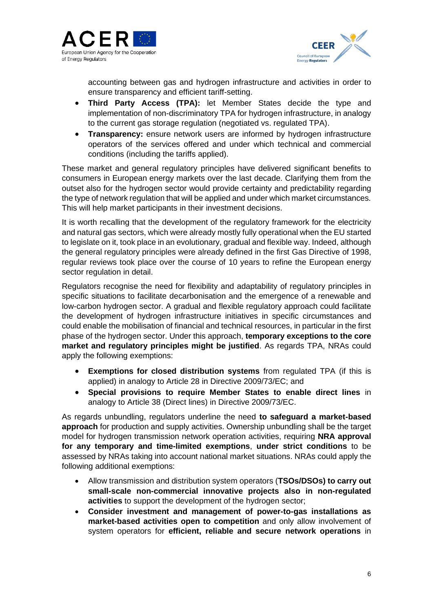



accounting between gas and hydrogen infrastructure and activities in order to ensure transparency and efficient tariff-setting.

- **Third Party Access (TPA):** let Member States decide the type and implementation of non-discriminatory TPA for hydrogen infrastructure, in analogy to the current gas storage regulation (negotiated vs. regulated TPA).
- **Transparency:** ensure network users are informed by hydrogen infrastructure operators of the services offered and under which technical and commercial conditions (including the tariffs applied).

These market and general regulatory principles have delivered significant benefits to consumers in European energy markets over the last decade. Clarifying them from the outset also for the hydrogen sector would provide certainty and predictability regarding the type of network regulation that will be applied and under which market circumstances. This will help market participants in their investment decisions.

It is worth recalling that the development of the regulatory framework for the electricity and natural gas sectors, which were already mostly fully operational when the EU started to legislate on it, took place in an evolutionary, gradual and flexible way. Indeed, although the general regulatory principles were already defined in the first Gas Directive of 1998, regular reviews took place over the course of 10 years to refine the European energy sector regulation in detail.

Regulators recognise the need for flexibility and adaptability of regulatory principles in specific situations to facilitate decarbonisation and the emergence of a renewable and low-carbon hydrogen sector. A gradual and flexible regulatory approach could facilitate the development of hydrogen infrastructure initiatives in specific circumstances and could enable the mobilisation of financial and technical resources, in particular in the first phase of the hydrogen sector. Under this approach, **temporary exceptions to the core market and regulatory principles might be justified**. As regards TPA, NRAs could apply the following exemptions:

- **Exemptions for closed distribution systems** from regulated TPA (if this is applied) in analogy to Article 28 in Directive 2009/73/EC; and
- **Special provisions to require Member States to enable direct lines** in analogy to Article 38 (Direct lines) in Directive 2009/73/EC.

As regards unbundling, regulators underline the need **to safeguard a market-based approach** for production and supply activities. Ownership unbundling shall be the target model for hydrogen transmission network operation activities, requiring **NRA approval for any temporary and time-limited exemptions**, **under strict conditions** to be assessed by NRAs taking into account national market situations. NRAs could apply the following additional exemptions:

- Allow transmission and distribution system operators (**TSOs/DSOs) to carry out small-scale non-commercial innovative projects also in non-regulated activities** to support the development of the hydrogen sector;
- **Consider investment and management of power-to-gas installations as market-based activities open to competition** and only allow involvement of system operators for **efficient, reliable and secure network operations** in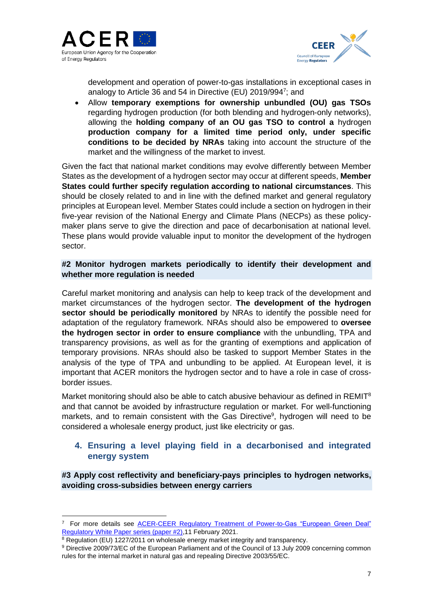



development and operation of power-to-gas installations in exceptional cases in analogy to Article 36 and 54 in Directive (EU) 2019/9947; and

• Allow **temporary exemptions for ownership unbundled (OU) gas TSOs** regarding hydrogen production (for both blending and hydrogen-only networks), allowing the **holding company of an OU gas TSO to control a** hydrogen **production company for a limited time period only, under specific conditions to be decided by NRAs** taking into account the structure of the market and the willingness of the market to invest.

Given the fact that national market conditions may evolve differently between Member States as the development of a hydrogen sector may occur at different speeds, **Member States could further specify regulation according to national circumstances**. This should be closely related to and in line with the defined market and general regulatory principles at European level. Member States could include a section on hydrogen in their five-year revision of the National Energy and Climate Plans (NECPs) as these policymaker plans serve to give the direction and pace of decarbonisation at national level. These plans would provide valuable input to monitor the development of the hydrogen sector.

## **#2 Monitor hydrogen markets periodically to identify their development and whether more regulation is needed**

Careful market monitoring and analysis can help to keep track of the development and market circumstances of the hydrogen sector. **The development of the hydrogen sector should be periodically monitored** by NRAs to identify the possible need for adaptation of the regulatory framework. NRAs should also be empowered to **oversee the hydrogen sector in order to ensure compliance** with the unbundling, TPA and transparency provisions, as well as for the granting of exemptions and application of temporary provisions. NRAs should also be tasked to support Member States in the analysis of the type of TPA and unbundling to be applied. At European level, it is important that ACER monitors the hydrogen sector and to have a role in case of crossborder issues.

Market monitoring should also be able to catch abusive behaviour as defined in REMIT<sup>8</sup> and that cannot be avoided by infrastructure regulation or market. For well-functioning markets, and to remain consistent with the Gas Directive<sup>9</sup>, hydrogen will need to be considered a wholesale energy product, just like electricity or gas.

## **4. Ensuring a level playing field in a decarbonised and integrated energy system**

**#3 Apply cost reflectivity and beneficiary-pays principles to hydrogen networks, avoiding cross-subsidies between energy carriers**

<sup>7</sup> For more details see [ACER-CEER Regulatory Treatment of Power-to-Gas "European Green Deal"](https://www.ceer.eu/documents/104400/7155350/Regulatory+Treatment+of+Power-to-Gas/b7cd60de-aa3f-4621-f907-06774a54b08d)  [Regulatory White Paper series \(paper #2\),11 February 2021.](https://www.ceer.eu/documents/104400/7155350/Regulatory+Treatment+of+Power-to-Gas/b7cd60de-aa3f-4621-f907-06774a54b08d)

<sup>&</sup>lt;sup>8</sup> Regulation (EU) 1227/2011 on wholesale energy market integrity and transparency.

<sup>9</sup> Directive 2009/73/EC of the European Parliament and of the Council of 13 July 2009 concerning common rules for the internal market in natural gas and repealing Directive 2003/55/EC.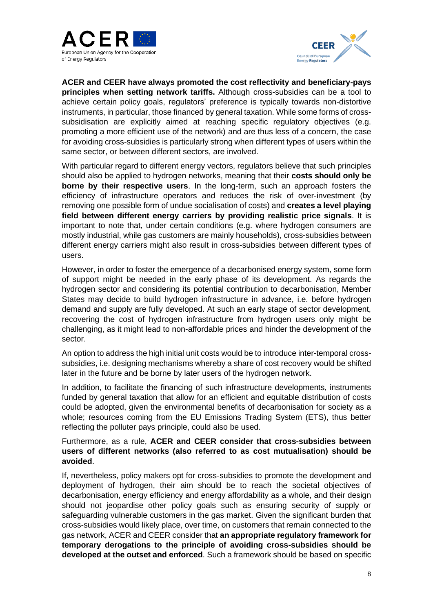



**ACER and CEER have always promoted the cost reflectivity and beneficiary-pays principles when setting network tariffs.** Although cross-subsidies can be a tool to achieve certain policy goals, regulators' preference is typically towards non-distortive instruments, in particular, those financed by general taxation. While some forms of crosssubsidisation are explicitly aimed at reaching specific regulatory objectives (e.g. promoting a more efficient use of the network) and are thus less of a concern, the case for avoiding cross-subsidies is particularly strong when different types of users within the same sector, or between different sectors, are involved.

With particular regard to different energy vectors, regulators believe that such principles should also be applied to hydrogen networks, meaning that their **costs should only be borne by their respective users**. In the long-term, such an approach fosters the efficiency of infrastructure operators and reduces the risk of over-investment (by removing one possible form of undue socialisation of costs) and **creates a level playing field between different energy carriers by providing realistic price signals**. It is important to note that, under certain conditions (e.g. where hydrogen consumers are mostly industrial, while gas customers are mainly households), cross-subsidies between different energy carriers might also result in cross-subsidies between different types of users.

However, in order to foster the emergence of a decarbonised energy system, some form of support might be needed in the early phase of its development. As regards the hydrogen sector and considering its potential contribution to decarbonisation, Member States may decide to build hydrogen infrastructure in advance, i.e. before hydrogen demand and supply are fully developed. At such an early stage of sector development, recovering the cost of hydrogen infrastructure from hydrogen users only might be challenging, as it might lead to non-affordable prices and hinder the development of the sector.

An option to address the high initial unit costs would be to introduce inter-temporal crosssubsidies, i.e. designing mechanisms whereby a share of cost recovery would be shifted later in the future and be borne by later users of the hydrogen network.

In addition, to facilitate the financing of such infrastructure developments, instruments funded by general taxation that allow for an efficient and equitable distribution of costs could be adopted, given the environmental benefits of decarbonisation for society as a whole; resources coming from the EU Emissions Trading System (ETS), thus better reflecting the polluter pays principle, could also be used.

## Furthermore, as a rule, **ACER and CEER consider that cross-subsidies between users of different networks (also referred to as cost mutualisation) should be avoided**.

If, nevertheless, policy makers opt for cross-subsidies to promote the development and deployment of hydrogen, their aim should be to reach the societal objectives of decarbonisation, energy efficiency and energy affordability as a whole, and their design should not jeopardise other policy goals such as ensuring security of supply or safeguarding vulnerable customers in the gas market. Given the significant burden that cross-subsidies would likely place, over time, on customers that remain connected to the gas network, ACER and CEER consider that **an appropriate regulatory framework for temporary derogations to the principle of avoiding cross-subsidies should be developed at the outset and enforced**. Such a framework should be based on specific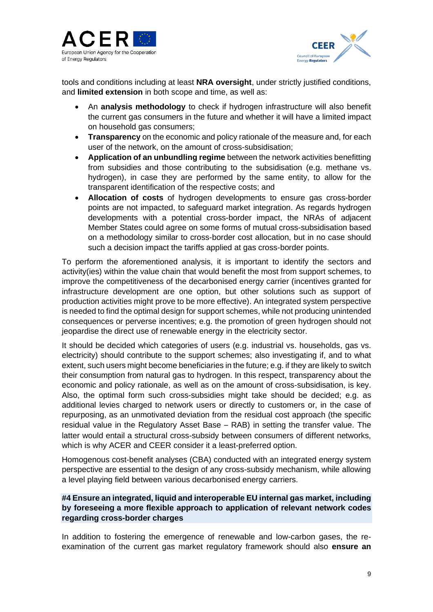



tools and conditions including at least **NRA oversight**, under strictly justified conditions, and **limited extension** in both scope and time, as well as:

- An **analysis methodology** to check if hydrogen infrastructure will also benefit the current gas consumers in the future and whether it will have a limited impact on household gas consumers;
- **Transparency** on the economic and policy rationale of the measure and, for each user of the network, on the amount of cross-subsidisation;
- **Application of an unbundling regime** between the network activities benefitting from subsidies and those contributing to the subsidisation (e.g. methane vs. hydrogen), in case they are performed by the same entity, to allow for the transparent identification of the respective costs; and
- **Allocation of costs** of hydrogen developments to ensure gas cross-border points are not impacted, to safeguard market integration. As regards hydrogen developments with a potential cross-border impact, the NRAs of adjacent Member States could agree on some forms of mutual cross-subsidisation based on a methodology similar to cross-border cost allocation, but in no case should such a decision impact the tariffs applied at gas cross-border points.

To perform the aforementioned analysis, it is important to identify the sectors and activity(ies) within the value chain that would benefit the most from support schemes, to improve the competitiveness of the decarbonised energy carrier (incentives granted for infrastructure development are one option, but other solutions such as support of production activities might prove to be more effective). An integrated system perspective is needed to find the optimal design for support schemes, while not producing unintended consequences or perverse incentives; e.g. the promotion of green hydrogen should not jeopardise the direct use of renewable energy in the electricity sector.

It should be decided which categories of users (e.g. industrial vs. households, gas vs. electricity) should contribute to the support schemes; also investigating if, and to what extent, such users might become beneficiaries in the future; e.g. if they are likely to switch their consumption from natural gas to hydrogen. In this respect, transparency about the economic and policy rationale, as well as on the amount of cross-subsidisation, is key. Also, the optimal form such cross-subsidies might take should be decided; e.g. as additional levies charged to network users or directly to customers or, in the case of repurposing, as an unmotivated deviation from the residual cost approach (the specific residual value in the Regulatory Asset Base – RAB) in setting the transfer value. The latter would entail a structural cross-subsidy between consumers of different networks, which is why ACER and CEER consider it a least-preferred option.

Homogenous cost-benefit analyses (CBA) conducted with an integrated energy system perspective are essential to the design of any cross-subsidy mechanism, while allowing a level playing field between various decarbonised energy carriers.

## **#4 Ensure an integrated, liquid and interoperable EU internal gas market, including by foreseeing a more flexible approach to application of relevant network codes regarding cross-border charges**

In addition to fostering the emergence of renewable and low-carbon gases, the reexamination of the current gas market regulatory framework should also **ensure an**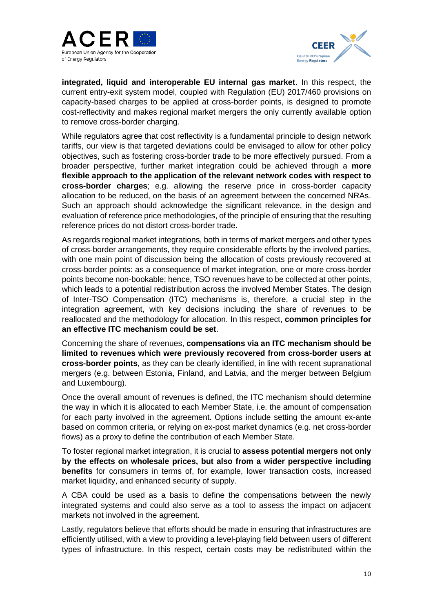



**integrated, liquid and interoperable EU internal gas market**. In this respect, the current entry-exit system model, coupled with Regulation (EU) 2017/460 provisions on capacity-based charges to be applied at cross-border points, is designed to promote cost-reflectivity and makes regional market mergers the only currently available option to remove cross-border charging.

While regulators agree that cost reflectivity is a fundamental principle to design network tariffs, our view is that targeted deviations could be envisaged to allow for other policy objectives, such as fostering cross-border trade to be more effectively pursued. From a broader perspective, further market integration could be achieved through a **more flexible approach to the application of the relevant network codes with respect to cross-border charges**; e.g. allowing the reserve price in cross-border capacity allocation to be reduced, on the basis of an agreement between the concerned NRAs. Such an approach should acknowledge the significant relevance, in the design and evaluation of reference price methodologies, of the principle of ensuring that the resulting reference prices do not distort cross-border trade.

As regards regional market integrations, both in terms of market mergers and other types of cross-border arrangements, they require considerable efforts by the involved parties, with one main point of discussion being the allocation of costs previously recovered at cross-border points: as a consequence of market integration, one or more cross-border points become non-bookable; hence, TSO revenues have to be collected at other points, which leads to a potential redistribution across the involved Member States. The design of Inter-TSO Compensation (ITC) mechanisms is, therefore, a crucial step in the integration agreement, with key decisions including the share of revenues to be reallocated and the methodology for allocation. In this respect, **common principles for an effective ITC mechanism could be set**.

Concerning the share of revenues, **compensations via an ITC mechanism should be limited to revenues which were previously recovered from cross-border users at cross-border points**, as they can be clearly identified, in line with recent supranational mergers (e.g. between Estonia, Finland, and Latvia, and the merger between Belgium and Luxembourg).

Once the overall amount of revenues is defined, the ITC mechanism should determine the way in which it is allocated to each Member State, i.e. the amount of compensation for each party involved in the agreement. Options include setting the amount ex-ante based on common criteria, or relying on ex-post market dynamics (e.g. net cross-border flows) as a proxy to define the contribution of each Member State.

To foster regional market integration, it is crucial to **assess potential mergers not only by the effects on wholesale prices, but also from a wider perspective including benefits** for consumers in terms of, for example, lower transaction costs, increased market liquidity, and enhanced security of supply.

A CBA could be used as a basis to define the compensations between the newly integrated systems and could also serve as a tool to assess the impact on adjacent markets not involved in the agreement.

Lastly, regulators believe that efforts should be made in ensuring that infrastructures are efficiently utilised, with a view to providing a level-playing field between users of different types of infrastructure. In this respect, certain costs may be redistributed within the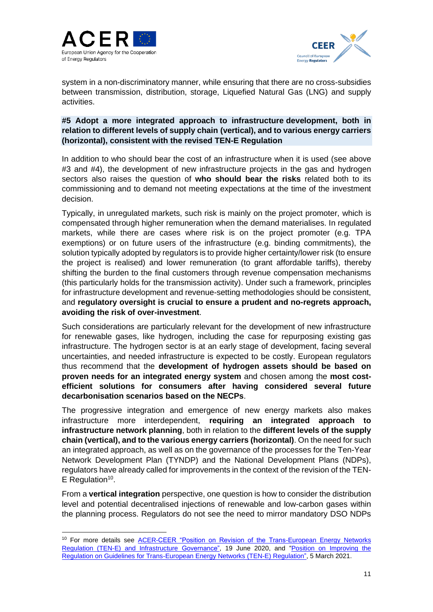



system in a non-discriminatory manner, while ensuring that there are no cross-subsidies between transmission, distribution, storage, Liquefied Natural Gas (LNG) and supply activities.

## **#5 Adopt a more integrated approach to infrastructure development, both in relation to different levels of supply chain (vertical), and to various energy carriers (horizontal), consistent with the revised TEN-E Regulation**

In addition to who should bear the cost of an infrastructure when it is used (see above #3 and #4), the development of new infrastructure projects in the gas and hydrogen sectors also raises the question of **who should bear the risks** related both to its commissioning and to demand not meeting expectations at the time of the investment decision.

Typically, in unregulated markets, such risk is mainly on the project promoter, which is compensated through higher remuneration when the demand materialises. In regulated markets, while there are cases where risk is on the project promoter (e.g. TPA exemptions) or on future users of the infrastructure (e.g. binding commitments), the solution typically adopted by regulators is to provide higher certainty/lower risk (to ensure the project is realised) and lower remuneration (to grant affordable tariffs), thereby shifting the burden to the final customers through revenue compensation mechanisms (this particularly holds for the transmission activity). Under such a framework, principles for infrastructure development and revenue-setting methodologies should be consistent, and **regulatory oversight is crucial to ensure a prudent and no-regrets approach, avoiding the risk of over-investment**.

Such considerations are particularly relevant for the development of new infrastructure for renewable gases, like hydrogen, including the case for repurposing existing gas infrastructure. The hydrogen sector is at an early stage of development, facing several uncertainties, and needed infrastructure is expected to be costly. European regulators thus recommend that the **development of hydrogen assets should be based on proven needs for an integrated energy system** and chosen among the **most costefficient solutions for consumers after having considered several future decarbonisation scenarios based on the NECPs**.

The progressive integration and emergence of new energy markets also makes infrastructure more interdependent, **requiring an integrated approach to infrastructure network planning**, both in relation to the **different levels of the supply chain (vertical), and to the various energy carriers (horizontal)**. On the need for such an integrated approach, as well as on the governance of the processes for the Ten-Year Network Development Plan (TYNDP) and the National Development Plans (NDPs), regulators have already called for improvements in the context of the revision of the TEN- $E$  Regulation<sup>10</sup>.

From a **vertical integration** perspective, one question is how to consider the distribution level and potential decentralised injections of renewable and low-carbon gases within the planning process. Regulators do not see the need to mirror mandatory DSO NDPs

<sup>&</sup>lt;sup>10</sup> For more details see **ACER-CEER** "Position on Revision of the Trans-European Energy Networks [Regulation \(TEN-E\) and Infrastructure Governance",](https://www.ceer.eu/documents/104400/-/-/c4f763dd-27e7-7113-9809-1ec50f530576) 19 June 2020, and ["Position on Improving the](https://www.ceer.eu/documents/104400/-/-/d83e6f21-ab19-bc92-25f1-5f7c70cac6ba)  [Regulation on Guidelines for Trans-European Energy Networks \(TEN-E\) Regulation"](https://www.ceer.eu/documents/104400/-/-/d83e6f21-ab19-bc92-25f1-5f7c70cac6ba), 5 March 2021.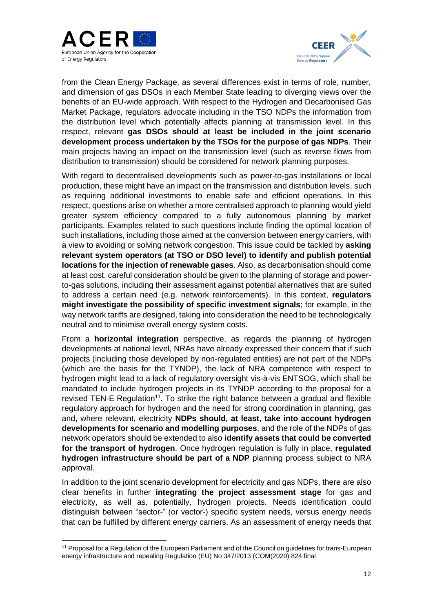



from the Clean Energy Package, as several differences exist in terms of role, number, and dimension of gas DSOs in each Member State leading to diverging views over the benefits of an EU-wide approach. With respect to the Hydrogen and Decarbonised Gas Market Package, regulators advocate including in the TSO NDPs the information from the distribution level which potentially affects planning at transmission level. In this respect, relevant **gas DSOs should at least be included in the joint scenario development process undertaken by the TSOs for the purpose of gas NDPs**. Their main projects having an impact on the transmission level (such as reverse flows from distribution to transmission) should be considered for network planning purposes.

With regard to decentralised developments such as power-to-gas installations or local production, these might have an impact on the transmission and distribution levels, such as requiring additional investments to enable safe and efficient operations. In this respect, questions arise on whether a more centralised approach to planning would yield greater system efficiency compared to a fully autonomous planning by market participants. Examples related to such questions include finding the optimal location of such installations, including those aimed at the conversion between energy carriers, with a view to avoiding or solving network congestion. This issue could be tackled by **asking relevant system operators (at TSO or DSO level) to identify and publish potential locations for the injection of renewable gases**. Also, as decarbonisation should come at least cost, careful consideration should be given to the planning of storage and powerto-gas solutions, including their assessment against potential alternatives that are suited to address a certain need (e.g. network reinforcements). In this context, **regulators might investigate the possibility of specific investment signals**; for example, in the way network tariffs are designed, taking into consideration the need to be technologically neutral and to minimise overall energy system costs.

From a **horizontal integration** perspective, as regards the planning of hydrogen developments at national level, NRAs have already expressed their concern that if such projects (including those developed by non-regulated entities) are not part of the NDPs (which are the basis for the TYNDP), the lack of NRA competence with respect to hydrogen might lead to a lack of regulatory oversight vis-à-vis ENTSOG, which shall be mandated to include hydrogen projects in its TYNDP according to the proposal for a revised TEN-E Regulation<sup>11</sup>. To strike the right balance between a gradual and flexible regulatory approach for hydrogen and the need for strong coordination in planning, gas and, where relevant, electricity **NDPs should, at least, take into account hydrogen developments for scenario and modelling purposes**, and the role of the NDPs of gas network operators should be extended to also **identify assets that could be converted for the transport of hydrogen**. Once hydrogen regulation is fully in place, **regulated hydrogen infrastructure should be part of a NDP** planning process subject to NRA approval.

In addition to the joint scenario development for electricity and gas NDPs, there are also clear benefits in further **integrating the project assessment stage** for gas and electricity, as well as, potentially, hydrogen projects. Needs identification could distinguish between "sector-" (or vector-) specific system needs, versus energy needs that can be fulfilled by different energy carriers. As an assessment of energy needs that

<sup>11</sup> Proposal for a Regulation of the European Parliament and of the Council on guidelines for trans-European energy infrastructure and repealing Regulation (EU) No 347/2013 (COM(2020) 824 final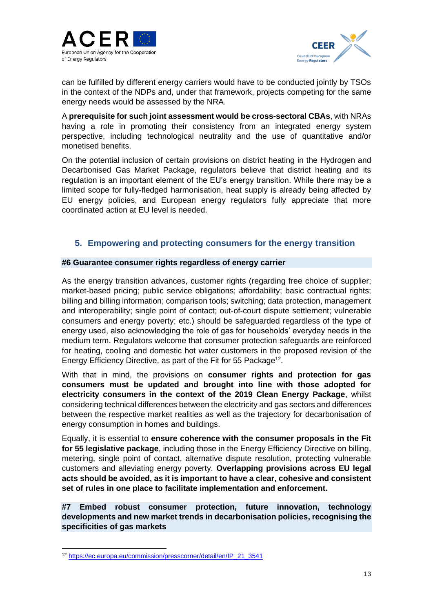



can be fulfilled by different energy carriers would have to be conducted jointly by TSOs in the context of the NDPs and, under that framework, projects competing for the same energy needs would be assessed by the NRA.

A **prerequisite for such joint assessment would be cross-sectoral CBAs**, with NRAs having a role in promoting their consistency from an integrated energy system perspective, including technological neutrality and the use of quantitative and/or monetised benefits.

On the potential inclusion of certain provisions on district heating in the Hydrogen and Decarbonised Gas Market Package, regulators believe that district heating and its regulation is an important element of the EU's energy transition. While there may be a limited scope for fully-fledged harmonisation, heat supply is already being affected by EU energy policies, and European energy regulators fully appreciate that more coordinated action at EU level is needed.

## **5. Empowering and protecting consumers for the energy transition**

#### **#6 Guarantee consumer rights regardless of energy carrier**

As the energy transition advances, customer rights (regarding free choice of supplier; market-based pricing; public service obligations; affordability; basic contractual rights; billing and billing information; comparison tools; switching; data protection, management and interoperability; single point of contact; out-of-court dispute settlement; vulnerable consumers and energy poverty; etc.) should be safeguarded regardless of the type of energy used, also acknowledging the role of gas for households' everyday needs in the medium term. Regulators welcome that consumer protection safeguards are reinforced for heating, cooling and domestic hot water customers in the proposed revision of the Energy Efficiency Directive, as part of the Fit for 55 Package<sup>12</sup>.

With that in mind, the provisions on **consumer rights and protection for gas consumers must be updated and brought into line with those adopted for electricity consumers in the context of the 2019 Clean Energy Package**, whilst considering technical differences between the electricity and gas sectors and differences between the respective market realities as well as the trajectory for decarbonisation of energy consumption in homes and buildings.

Equally, it is essential to **ensure coherence with the consumer proposals in the Fit for 55 legislative package**, including those in the Energy Efficiency Directive on billing, metering, single point of contact, alternative dispute resolution, protecting vulnerable customers and alleviating energy poverty. **Overlapping provisions across EU legal acts should be avoided, as it is important to have a clear, cohesive and consistent set of rules in one place to facilitate implementation and enforcement.**

**#7 Embed robust consumer protection, future innovation, technology developments and new market trends in decarbonisation policies, recognising the specificities of gas markets**

<sup>12</sup> [https://ec.europa.eu/commission/presscorner/detail/en/IP\\_21\\_3541](https://ec.europa.eu/commission/presscorner/detail/en/IP_21_3541)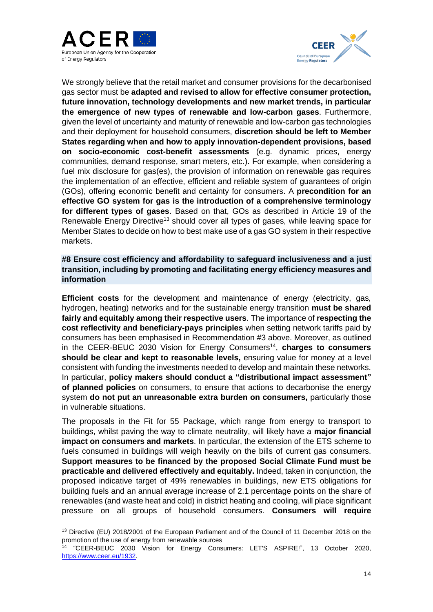



We strongly believe that the retail market and consumer provisions for the decarbonised gas sector must be **adapted and revised to allow for effective consumer protection, future innovation, technology developments and new market trends, in particular the emergence of new types of renewable and low-carbon gases**. Furthermore, given the level of uncertainty and maturity of renewable and low-carbon gas technologies and their deployment for household consumers, **discretion should be left to Member States regarding when and how to apply innovation-dependent provisions, based on socio-economic cost-benefit assessments** (e.g. dynamic prices, energy communities, demand response, smart meters, etc.). For example, when considering a fuel mix disclosure for gas(es), the provision of information on renewable gas requires the implementation of an effective, efficient and reliable system of guarantees of origin (GOs), offering economic benefit and certainty for consumers. A **precondition for an effective GO system for gas is the introduction of a comprehensive terminology for different types of gases**. Based on that, GOs as described in Article 19 of the Renewable Energy Directive<sup>13</sup> should cover all types of gases, while leaving space for Member States to decide on how to best make use of a gas GO system in their respective markets.

**#8 Ensure cost efficiency and affordability to safeguard inclusiveness and a just transition, including by promoting and facilitating energy efficiency measures and information**

**Efficient costs** for the development and maintenance of energy (electricity, gas, hydrogen, heating) networks and for the sustainable energy transition **must be shared fairly and equitably among their respective users**. The importance of **respecting the cost reflectivity and beneficiary-pays principles** when setting network tariffs paid by consumers has been emphasised in Recommendation [#3](#page-3-0) above. Moreover, as outlined in the CEER-BEUC 2030 Vision for Energy Consumers<sup>14</sup>, charges to consumers **should be clear and kept to reasonable levels,** ensuring value for money at a level consistent with funding the investments needed to develop and maintain these networks. In particular, **policy makers should conduct a "distributional impact assessment" of planned policies** on consumers, to ensure that actions to decarbonise the energy system **do not put an unreasonable extra burden on consumers,** particularly those in vulnerable situations.

The proposals in the Fit for 55 Package, which range from energy to transport to buildings, whilst paving the way to climate neutrality, will likely have a **major financial impact on consumers and markets**. In particular, the extension of the ETS scheme to fuels consumed in buildings will weigh heavily on the bills of current gas consumers. **Support measures to be financed by the proposed Social Climate Fund must be practicable and delivered effectively and equitably.** Indeed, taken in conjunction, the proposed indicative target of 49% renewables in buildings, new ETS obligations for building fuels and an annual average increase of 2.1 percentage points on the share of renewables (and waste heat and cold) in district heating and cooling, will place significant pressure on all groups of household consumers. **Consumers will require** 

<sup>&</sup>lt;sup>13</sup> Directive (EU) 2018/2001 of the European Parliament and of the Council of 11 December 2018 on the promotion of the use of energy from renewable sources

<sup>14</sup> "CEER-BEUC 2030 Vision for Energy Consumers: LET'S ASPIRE!", 13 October 2020, [https://www.ceer.eu/1932.](https://www.ceer.eu/1932)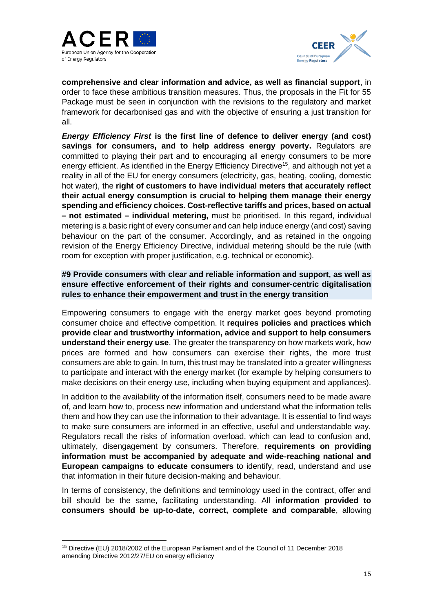



**comprehensive and clear information and advice, as well as financial support**, in order to face these ambitious transition measures. Thus, the proposals in the Fit for 55 Package must be seen in conjunction with the revisions to the regulatory and market framework for decarbonised gas and with the objective of ensuring a just transition for all.

*Energy Efficiency First* **is the first line of defence to deliver energy (and cost) savings for consumers, and to help address energy poverty.** Regulators are committed to playing their part and to encouraging all energy consumers to be more energy efficient. As identified in the Energy Efficiency Directive<sup>15</sup>, and although not yet a reality in all of the EU for energy consumers (electricity, gas, heating, cooling, domestic hot water), the **right of customers to have individual meters that accurately reflect their actual energy consumption is crucial to helping them manage their energy spending and efficiency choices**. **Cost-reflective tariffs and prices, based on actual – not estimated – individual metering,** must be prioritised. In this regard, individual metering is a basic right of every consumer and can help induce energy (and cost) saving behaviour on the part of the consumer. Accordingly, and as retained in the ongoing revision of the Energy Efficiency Directive, individual metering should be the rule (with room for exception with proper justification, e.g. technical or economic).

## **#9 Provide consumers with clear and reliable information and support, as well as ensure effective enforcement of their rights and consumer-centric digitalisation rules to enhance their empowerment and trust in the energy transition**

Empowering consumers to engage with the energy market goes beyond promoting consumer choice and effective competition. It **requires policies and practices which provide clear and trustworthy information, advice and support to help consumers understand their energy use**. The greater the transparency on how markets work, how prices are formed and how consumers can exercise their rights, the more trust consumers are able to gain. In turn, this trust may be translated into a greater willingness to participate and interact with the energy market (for example by helping consumers to make decisions on their energy use, including when buying equipment and appliances).

In addition to the availability of the information itself, consumers need to be made aware of, and learn how to, process new information and understand what the information tells them and how they can use the information to their advantage. It is essential to find ways to make sure consumers are informed in an effective, useful and understandable way. Regulators recall the risks of information overload, which can lead to confusion and, ultimately, disengagement by consumers. Therefore, **requirements on providing information must be accompanied by adequate and wide-reaching national and European campaigns to educate consumers** to identify, read, understand and use that information in their future decision-making and behaviour.

In terms of consistency, the definitions and terminology used in the contract, offer and bill should be the same, facilitating understanding. All **information provided to consumers should be up-to-date, correct, complete and comparable**, allowing

<sup>15</sup> Directive (EU) 2018/2002 of the European Parliament and of the Council of 11 December 2018 amending Directive 2012/27/EU on energy efficiency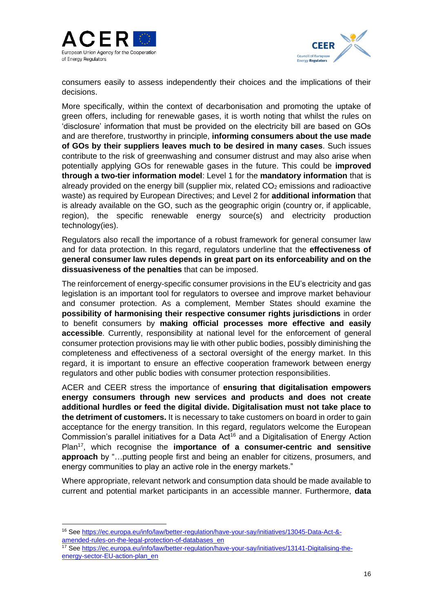



consumers easily to assess independently their choices and the implications of their decisions.

More specifically, within the context of decarbonisation and promoting the uptake of green offers, including for renewable gases, it is worth noting that whilst the rules on 'disclosure' information that must be provided on the electricity bill are based on GOs and are therefore, trustworthy in principle, **informing consumers about the use made of GOs by their suppliers leaves much to be desired in many cases**. Such issues contribute to the risk of greenwashing and consumer distrust and may also arise when potentially applying GOs for renewable gases in the future. This could be **improved through a two-tier information model**: Level 1 for the **mandatory information** that is already provided on the energy bill (supplier mix, related  $CO<sub>2</sub>$  emissions and radioactive waste) as required by European Directives; and Level 2 for **additional information** that is already available on the GO, such as the geographic origin (country or, if applicable, region), the specific renewable energy source(s) and electricity production technology(ies).

Regulators also recall the importance of a robust framework for general consumer law and for data protection. In this regard, regulators underline that the **effectiveness of general consumer law rules depends in great part on its enforceability and on the dissuasiveness of the penalties** that can be imposed.

The reinforcement of energy-specific consumer provisions in the EU's electricity and gas legislation is an important tool for regulators to oversee and improve market behaviour and consumer protection. As a complement, Member States should examine the **possibility of harmonising their respective consumer rights jurisdictions** in order to benefit consumers by **making official processes more effective and easily accessible**. Currently, responsibility at national level for the enforcement of general consumer protection provisions may lie with other public bodies, possibly diminishing the completeness and effectiveness of a sectoral oversight of the energy market. In this regard, it is important to ensure an effective cooperation framework between energy regulators and other public bodies with consumer protection responsibilities.

ACER and CEER stress the importance of **ensuring that digitalisation empowers energy consumers through new services and products and does not create additional hurdles or feed the digital divide. Digitalisation must not take place to the detriment of customers.** It is necessary to take customers on board in order to gain acceptance for the energy transition. In this regard, regulators welcome the European Commission's parallel initiatives for a Data Act<sup>16</sup> and a Digitalisation of Energy Action Plan<sup>17</sup>, which recognise the **importance of a consumer-centric and sensitive approach** by "…putting people first and being an enabler for citizens, prosumers, and energy communities to play an active role in the energy markets."

Where appropriate, relevant network and consumption data should be made available to current and potential market participants in an accessible manner. Furthermore, **data** 

<sup>16</sup> Se[e https://ec.europa.eu/info/law/better-regulation/have-your-say/initiatives/13045-Data-Act-&](https://ec.europa.eu/info/law/better-regulation/have-your-say/initiatives/13045-Data-Act-&-amended-rules-on-the-legal-protection-of-databases_en) [amended-rules-on-the-legal-protection-of-databases\\_en](https://ec.europa.eu/info/law/better-regulation/have-your-say/initiatives/13045-Data-Act-&-amended-rules-on-the-legal-protection-of-databases_en)

<sup>17</sup> Se[e https://ec.europa.eu/info/law/better-regulation/have-your-say/initiatives/13141-Digitalising-the](https://ec.europa.eu/info/law/better-regulation/have-your-say/initiatives/13141-Digitalising-the-energy-sector-EU-action-plan_en)[energy-sector-EU-action-plan\\_en](https://ec.europa.eu/info/law/better-regulation/have-your-say/initiatives/13141-Digitalising-the-energy-sector-EU-action-plan_en)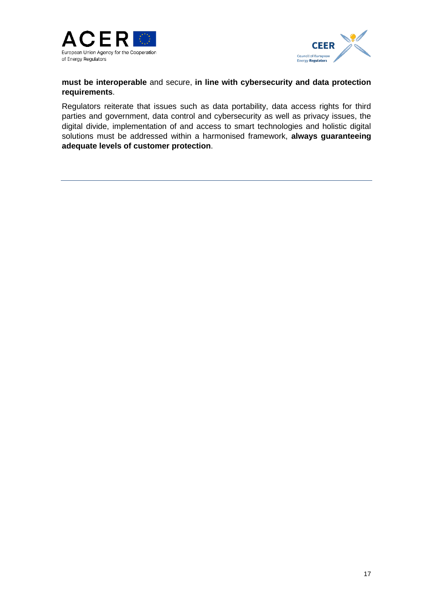



**must be interoperable** and secure, **in line with cybersecurity and data protection requirements**.

Regulators reiterate that issues such as data portability, data access rights for third parties and government, data control and cybersecurity as well as privacy issues, the digital divide, implementation of and access to smart technologies and holistic digital solutions must be addressed within a harmonised framework, **always guaranteeing adequate levels of customer protection**.